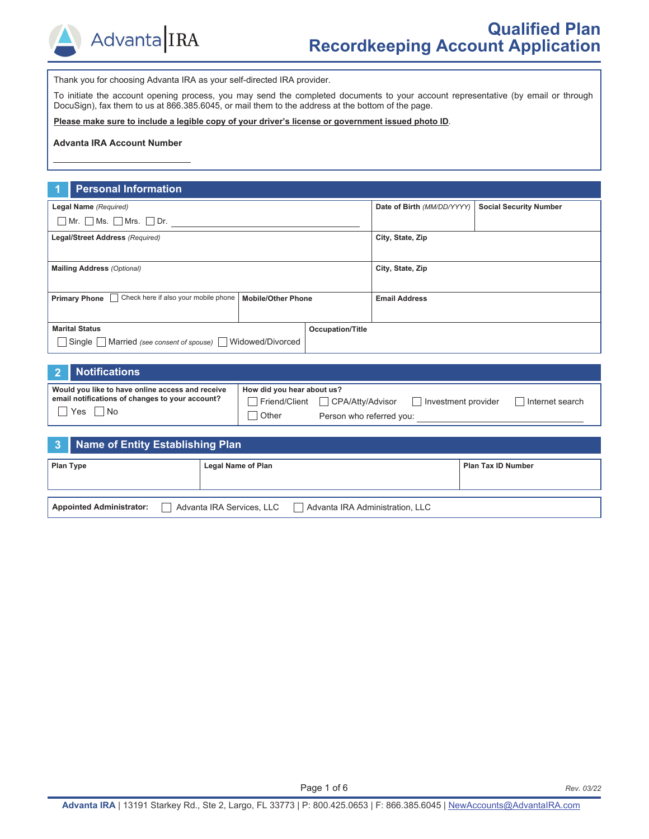

Thank you for choosing Advanta IRA as your self-directed IRA provider.

To initiate the account opening process, you may send the completed documents to your account representative (by email or through DocuSign), fax them to us at 866.385.6045, or mail them to the address at the bottom of the page.

**Please make sure to include a legible copy of your driver's license or government issued photo ID**.

#### **Advanta IRA Account Number**

#### **1 Personal Information**

| Legal Name (Required)                                                                     |                         |  | Date of Birth (MM/DD/YYYY) | <b>Social Security Number</b> |  |
|-------------------------------------------------------------------------------------------|-------------------------|--|----------------------------|-------------------------------|--|
| $\Box$ Mr. $\Box$ Ms. $\Box$ Mrs. $\Box$ Dr.                                              |                         |  |                            |                               |  |
| Legal/Street Address (Required)                                                           |                         |  | City, State, Zip           |                               |  |
|                                                                                           |                         |  |                            |                               |  |
| <b>Mailing Address (Optional)</b>                                                         |                         |  | City, State, Zip           |                               |  |
|                                                                                           |                         |  |                            |                               |  |
| Check here if also your mobile phone<br><b>Primary Phone</b><br><b>Mobile/Other Phone</b> |                         |  | <b>Email Address</b>       |                               |  |
|                                                                                           |                         |  |                            |                               |  |
| <b>Marital Status</b>                                                                     | <b>Occupation/Title</b> |  |                            |                               |  |
| Single Married (see consent of spouse) Widowed/Divorced                                   |                         |  |                            |                               |  |

#### **2 Notifications**

| Would you like to have online access and receive | How did you hear about us? |                                  |                       |                   |
|--------------------------------------------------|----------------------------|----------------------------------|-----------------------|-------------------|
| email notifications of changes to your account?  |                            | Friend/Client □ CPA/Atty/Advisor | I Investment provider | l Internet search |
| Yes<br>l No                                      | Other                      | Person who referred you:         |                       |                   |

|                  | 3 Name of Entity Establishing Plan |  |                           |                                 |                           |
|------------------|------------------------------------|--|---------------------------|---------------------------------|---------------------------|
| <b>Plan Type</b> |                                    |  | <b>Legal Name of Plan</b> |                                 | <b>Plan Tax ID Number</b> |
|                  |                                    |  |                           |                                 |                           |
|                  | <b>Appointed Administrator:</b>    |  | Advanta IRA Services, LLC | Advanta IRA Administration, LLC |                           |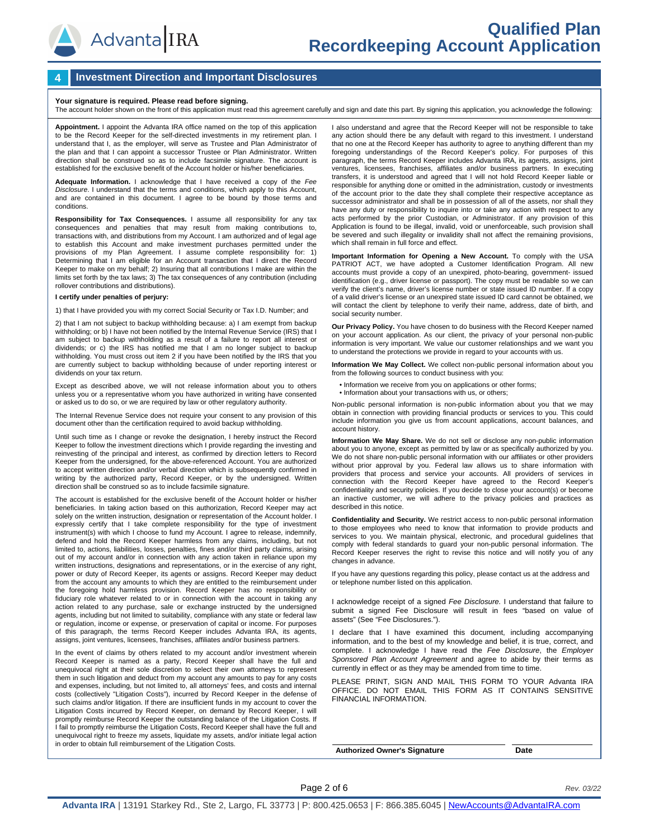

#### **4 Investment Direction and Important Disclosures**

**Your signature is required. Please read before signing.**<br>The account holder shown on the front of this application must read this agreement carefully and sign and date this part. By signing this application, you acknowled

**Appointment.** I appoint the Advanta IRA office named on the top of this application to be the Record Keeper for the self-directed investments in my retirement plan. I understand that I, as the employer, will serve as Trustee and Plan Administrator of the plan and that I can appoint a successor Trustee or Plan Administrator. Written direction shall be construed so as to include facsimile signature. The account is established for the exclusive benefit of the Account holder or his/her beneficiaries.

**Adequate Information.** I acknowledge that I have received a copy of the *Fee Disclosure*. I understand that the terms and conditions, which apply to this Account, and are contained in this document. I agree to be bound by those terms and conditions.

**Responsibility for Tax Consequences.** I assume all responsibility for any tax consequences and penalties that may result from making contributions to, transactions with, and distributions from my Account. I am authorized and of legal age to establish this Account and make investment purchases permitted under the provisions of my Plan Agreement. I assume complete responsibility for: 1) Determining that I am eligible for an Account transaction that I direct the Record Keeper to make on my behalf; 2) Insuring that all contributions I make are within the limits set forth by the tax laws; 3) The tax consequences of any contribution (including rollover contributions and distributions).

#### **I certify under penalties of perjury:**

1) that I have provided you with my correct Social Security or Tax I.D. Number; and

2) that I am not subject to backup withholding because: a) I am exempt from backup withholding; or b) I have not been notified by the Internal Revenue Service (IRS) that I am subject to backup withholding as a result of a failure to report all interest or dividends; or c) the IRS has notified me that I am no longer subject to backup withholding. You must cross out item 2 if you have been notified by the IRS that you are currently subject to backup withholding because of under reporting interest or dividends on your tax return.

Except as described above, we will not release information about you to others unless you or a representative whom you have authorized in writing have consented or asked us to do so, or we are required by law or other regulatory authority.

The Internal Revenue Service does not require your consent to any provision of this document other than the certification required to avoid backup withholding.

Until such time as I change or revoke the designation, I hereby instruct the Record Keeper to follow the investment directions which I provide regarding the investing and reinvesting of the principal and interest, as confirmed by direction letters to Record Keeper from the undersigned, for the above-referenced Account. You are authorized to accept written direction and/or verbal direction which is subsequently confirmed in writing by the authorized party, Record Keeper, or by the undersigned. Written direction shall be construed so as to include facsimile signature.

The account is established for the exclusive benefit of the Account holder or his/her beneficiaries. In taking action based on this authorization, Record Keeper may act solely on the written instruction, designation or representation of the Account holder. I expressly certify that I take complete responsibility for the type of investment instrument(s) with which I choose to fund my Account. I agree to release, indemnify, defend and hold the Record Keeper harmless from any claims, including, but not limited to, actions, liabilities, losses, penalties, fines and/or third party claims, arising out of my account and/or in connection with any action taken in reliance upon my written instructions, designations and representations, or in the exercise of any right, power or duty of Record Keeper, its agents or assigns. Record Keeper may deduct from the account any amounts to which they are entitled to the reimbursement under the foregoing hold harmless provision. Record Keeper has no responsibility or fiduciary role whatever related to or in connection with the account in taking any action related to any purchase, sale or exchange instructed by the undersigned agents, including but not limited to suitability, compliance with any state or federal law or regulation, income or expense, or preservation of capital or income. For purposes of this paragraph, the terms Record Keeper includes Advanta IRA, its agents, assigns, joint ventures, licensees, franchises, affiliates and/or business partners.

In the event of claims by others related to my account and/or investment wherein Record Keeper is named as a party, Record Keeper shall have the full and unequivocal right at their sole discretion to select their own attorneys to represent them in such litigation and deduct from my account any amounts to pay for any costs and expenses, including, but not limited to, all attorneys' fees, and costs and internal costs (collectively "Litigation Costs"), incurred by Record Keeper in the defense of such claims and/or litigation. If there are insufficient funds in my account to cover the Litigation Costs incurred by Record Keeper, on demand by Record Keeper, I will promptly reimburse Record Keeper the outstanding balance of the Litigation Costs. If I fail to promptly reimburse the Litigation Costs, Record Keeper shall have the full and unequivocal right to freeze my assets, liquidate my assets, and/or initiate legal action in order to obtain full reimbursement of the Litigation Costs.

I also understand and agree that the Record Keeper will not be responsible to take any action should there be any default with regard to this investment. I understand that no one at the Record Keeper has authority to agree to anything different than my foregoing understandings of the Record Keeper's policy. For purposes of this paragraph, the terms Record Keeper includes Advanta IRA, its agents, assigns, joint ventures, licensees, franchises, affiliates and/or business partners. In executing transfers, it is understood and agreed that I will not hold Record Keeper liable or responsible for anything done or omitted in the administration, custody or investments of the account prior to the date they shall complete their respective acceptance as successor administrator and shall be in possession of all of the assets, nor shall they have any duty or responsibility to inquire into or take any action with respect to any acts performed by the prior Custodian, or Administrator. If any provision of this Application is found to be illegal, invalid, void or unenforceable, such provision shall be severed and such illegality or invalidity shall not affect the remaining provisions, which shall remain in full force and effect.

**Important Information for Opening a New Account.** To comply with the USA PATRIOT ACT, we have adopted a Customer Identification Program. All new accounts must provide a copy of an unexpired, photo-bearing, government- issued identification (e.g., driver license or passport). The copy must be readable so we can verify the client's name, driver's license number or state issued ID number. If a copy of a valid driver's license or an unexpired state issued ID card cannot be obtained, we will contact the client by telephone to verify their name, address, date of birth, and social security number.

**Our Privacy Policy.** You have chosen to do business with the Record Keeper named on your account application. As our client, the privacy of your personal non-public information is very important. We value our customer relationships and we want you to understand the protections we provide in regard to your accounts with us.

**Information We May Collect.** We collect non-public personal information about you from the following sources to conduct business with you:

- Information we receive from you on applications or other forms;
- Information about your transactions with us, or others;

Non-public personal information is non-public information about you that we may obtain in connection with providing financial products or services to you. This could include information you give us from account applications, account balances, and account history.

**Information We May Share.** We do not sell or disclose any non-public information about you to anyone, except as permitted by law or as specifically authorized by you. We do not share non-public personal information with our affiliates or other providers without prior approval by you. Federal law allows us to share information with providers that process and service your accounts. All providers of services in connection with the Record Keeper have agreed to the Record Keeper's confidentiality and security policies. If you decide to close your account(s) or become an inactive customer, we will adhere to the privacy policies and practices as described in this notice.

**Confidentiality and Security.** We restrict access to non-public personal information to those employees who need to know that information to provide products and services to you. We maintain physical, electronic, and procedural guidelines that comply with federal standards to guard your non-public personal information. The Record Keeper reserves the right to revise this notice and will notify you of any changes in advance.

If you have any questions regarding this policy, please contact us at the address and or telephone number listed on this application.

I acknowledge receipt of a signed *Fee Disclosure.* I understand that failure to submit a signed Fee Disclosure will result in fees "based on value of assets" (See "Fee Disclosures.").

declare that I have examined this document, including accompanying information, and to the best of my knowledge and belief, it is true, correct, and complete. I acknowledge I have read the *Fee Disclosure*, the *Employer Sponsored Plan Account Agreement* and agree to abide by their terms as currently in effect or as they may be amended from time to time.

PLEASE PRINT, SIGN AND MAIL THIS FORM TO YOUR Advanta IRA OFFICE. DO NOT EMAIL THIS FORM AS IT CONTAINS SENSITIVE FINANCIAL INFORMATION.

**Authorized Owner's Signature Date**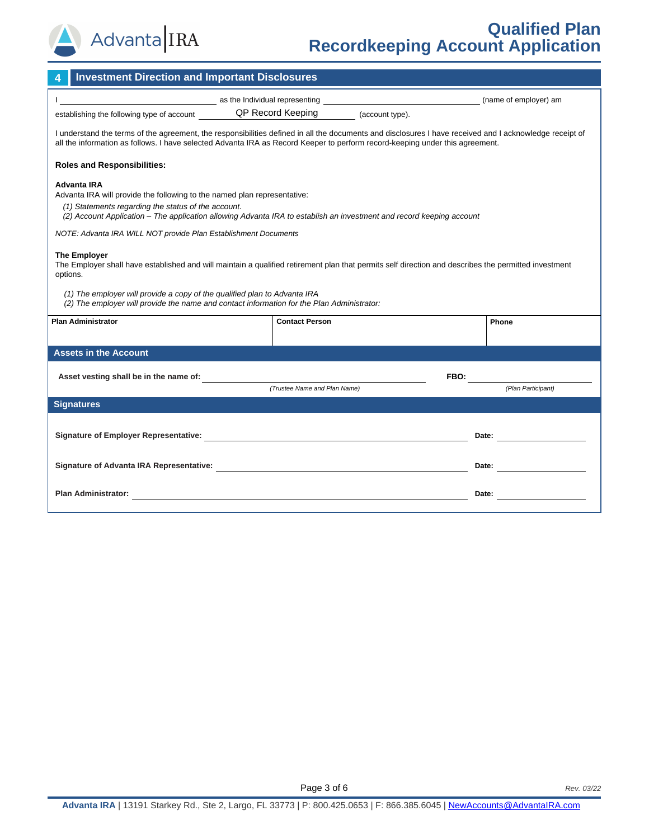

# **Qualified Plan Recordkeeping Account Application**

| <b>Investment Direction and Important Disclosures</b>                                                                                                                                                                                                                                                                                                              |                                                                              |  |                                                                                                                                                                                                                                |  |  |
|--------------------------------------------------------------------------------------------------------------------------------------------------------------------------------------------------------------------------------------------------------------------------------------------------------------------------------------------------------------------|------------------------------------------------------------------------------|--|--------------------------------------------------------------------------------------------------------------------------------------------------------------------------------------------------------------------------------|--|--|
| as the Individual representing <b>of the Contract of the Contract of the Contract of the Contract of the Contract of the Contract of the Contract of the Contract of the Contract of the Contract of the Contract of the Contrac</b>                                                                                                                               |                                                                              |  | (name of employer) am                                                                                                                                                                                                          |  |  |
|                                                                                                                                                                                                                                                                                                                                                                    | establishing the following type of account QP Record Keeping (account type). |  |                                                                                                                                                                                                                                |  |  |
| I understand the terms of the agreement, the responsibilities defined in all the documents and disclosures I have received and I acknowledge receipt of<br>all the information as follows. I have selected Advanta IRA as Record Keeper to perform record-keeping under this agreement.                                                                            |                                                                              |  |                                                                                                                                                                                                                                |  |  |
| <b>Roles and Responsibilities:</b>                                                                                                                                                                                                                                                                                                                                 |                                                                              |  |                                                                                                                                                                                                                                |  |  |
| <b>Advanta IRA</b><br>Advanta IRA will provide the following to the named plan representative:<br>(1) Statements regarding the status of the account.<br>(2) Account Application – The application allowing Advanta IRA to establish an investment and record keeping account                                                                                      |                                                                              |  |                                                                                                                                                                                                                                |  |  |
| NOTE: Advanta IRA WILL NOT provide Plan Establishment Documents                                                                                                                                                                                                                                                                                                    |                                                                              |  |                                                                                                                                                                                                                                |  |  |
| <b>The Employer</b><br>The Employer shall have established and will maintain a qualified retirement plan that permits self direction and describes the permitted investment<br>options.<br>(1) The employer will provide a copy of the qualified plan to Advanta IRA<br>(2) The employer will provide the name and contact information for the Plan Administrator: |                                                                              |  |                                                                                                                                                                                                                                |  |  |
| <b>Plan Administrator</b>                                                                                                                                                                                                                                                                                                                                          | <b>Contact Person</b>                                                        |  | Phone                                                                                                                                                                                                                          |  |  |
|                                                                                                                                                                                                                                                                                                                                                                    |                                                                              |  |                                                                                                                                                                                                                                |  |  |
| <b>Assets in the Account</b>                                                                                                                                                                                                                                                                                                                                       |                                                                              |  |                                                                                                                                                                                                                                |  |  |
|                                                                                                                                                                                                                                                                                                                                                                    |                                                                              |  | FBO: the contract of the contract of the contract of the contract of the contract of the contract of the contract of the contract of the contract of the contract of the contract of the contract of the contract of the contr |  |  |
|                                                                                                                                                                                                                                                                                                                                                                    | (Trustee Name and Plan Name)                                                 |  | (Plan Participant)                                                                                                                                                                                                             |  |  |
| <b>Signatures</b>                                                                                                                                                                                                                                                                                                                                                  |                                                                              |  |                                                                                                                                                                                                                                |  |  |
|                                                                                                                                                                                                                                                                                                                                                                    |                                                                              |  | Date: the contract of the contract of the contract of the contract of the contract of the contract of the contract of the contract of the contract of the contract of the contract of the contract of the contract of the cont |  |  |
|                                                                                                                                                                                                                                                                                                                                                                    |                                                                              |  | Date: <u>_____________________</u>                                                                                                                                                                                             |  |  |
| Plan Administrator:<br><u> 1980 - Johann Stoff, amerikansk politiker (d. 1980)</u>                                                                                                                                                                                                                                                                                 |                                                                              |  | Date:                                                                                                                                                                                                                          |  |  |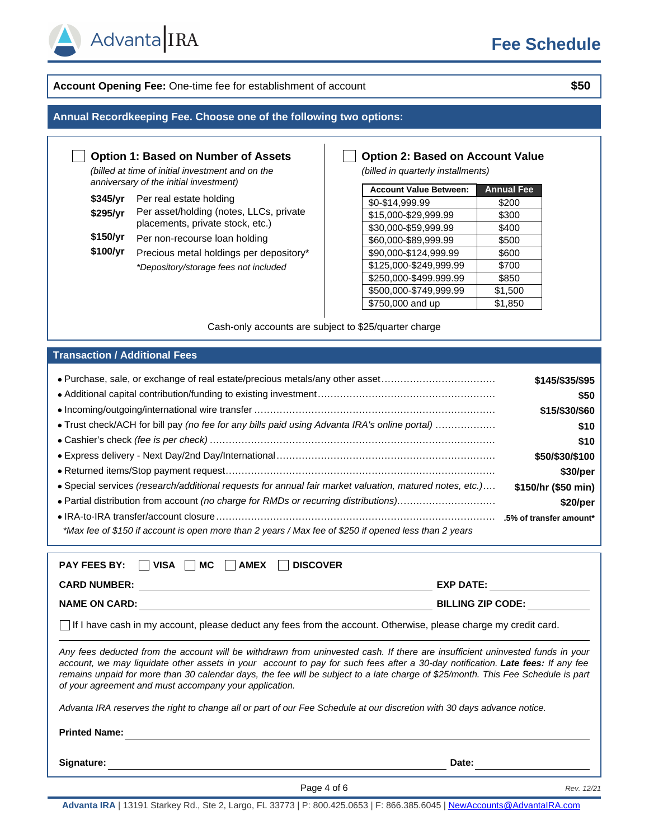

## **Account Opening Fee:** One-time fee for establishment of account **\$50**

### **Annual Recordkeeping Fee. Choose one of the following two options:**

## **Option 1: Based on Number of Assets**

*(billed at time of initial investment and on the anniversary of the initial investment)*

| \$345/yr | Per real estate holding |  |  |  |
|----------|-------------------------|--|--|--|
|          |                         |  |  |  |

Advanta IRA

- \$295/yr Per asset/holding (notes, LLCs, private placements, private stock, etc.)
- **\$150/yr** Per non-recourse loan holding
- \$100/yr Precious metal holdings per depository\* *\*Depository/storage fees not included*

## **Option 2: Based on Account Value**

*(billed in quarterly installments)*

| <b>Account Value Between:</b> | <b>Annual Fee</b> |
|-------------------------------|-------------------|
| \$0-\$14,999.99               | \$200             |
| \$15,000-\$29,999.99          | \$300             |
| \$30,000-\$59,999.99          | \$400             |
| \$60,000-\$89,999.99          | \$500             |
| \$90,000-\$124,999.99         | \$600             |
| \$125,000-\$249,999.99        | \$700             |
| \$250,000-\$499.999.99        | \$850             |
| \$500,000-\$749,999.99        | \$1,500           |
| \$750,000 and up              | \$1,850           |

Cash-only accounts are subject to \$25/quarter charge

#### **Transaction / Additional Fees**

| • Purchase, sale, or exchange of real estate/precious metals/any other asset                            | \$145/\$35/\$95     |
|---------------------------------------------------------------------------------------------------------|---------------------|
|                                                                                                         | \$50                |
|                                                                                                         | \$15/\$30/\$60      |
| • Trust check/ACH for bill pay (no fee for any bills paid using Advanta IRA's online portal)            | \$10                |
|                                                                                                         | \$10                |
|                                                                                                         | \$50/\$30/\$100     |
|                                                                                                         | \$30/per            |
| • Special services (research/additional requests for annual fair market valuation, matured notes, etc.) | \$150/hr (\$50 min) |
| • Partial distribution from account (no charge for RMDs or recurring distributions)                     | \$20/per            |
|                                                                                                         |                     |
| *Max fee of \$150 if account is open more than 2 years / Max fee of \$250 if opened less than 2 years   |                     |

| <b>PAY FEES BY:</b><br><b>DISCOVER</b><br><b>VISA</b><br>МC<br><b>AMEX</b>                                                                                                                                                                                                                                                                                                                                                                                    |                          |  |  |  |  |
|---------------------------------------------------------------------------------------------------------------------------------------------------------------------------------------------------------------------------------------------------------------------------------------------------------------------------------------------------------------------------------------------------------------------------------------------------------------|--------------------------|--|--|--|--|
| <b>CARD NUMBER:</b>                                                                                                                                                                                                                                                                                                                                                                                                                                           | <b>EXP DATE:</b>         |  |  |  |  |
| <b>NAME ON CARD:</b>                                                                                                                                                                                                                                                                                                                                                                                                                                          | <b>BILLING ZIP CODE:</b> |  |  |  |  |
| $\vert \ \vert$ If I have cash in my account, please deduct any fees from the account. Otherwise, please charge my credit card.                                                                                                                                                                                                                                                                                                                               |                          |  |  |  |  |
| Any fees deducted from the account will be withdrawn from uninvested cash. If there are insufficient uninvested funds in your<br>account, we may liquidate other assets in your account to pay for such fees after a 30-day notification. Late fees: If any fee<br>remains unpaid for more than 30 calendar days, the fee will be subject to a late charge of \$25/month. This Fee Schedule is part<br>of your agreement and must accompany your application. |                          |  |  |  |  |
| Advanta IRA reserves the right to change all or part of our Fee Schedule at our discretion with 30 days advance notice.                                                                                                                                                                                                                                                                                                                                       |                          |  |  |  |  |
| <b>Printed Name:</b>                                                                                                                                                                                                                                                                                                                                                                                                                                          |                          |  |  |  |  |
| Signature:                                                                                                                                                                                                                                                                                                                                                                                                                                                    | Date:                    |  |  |  |  |

Page 4 of 6 *Rev. 12/21*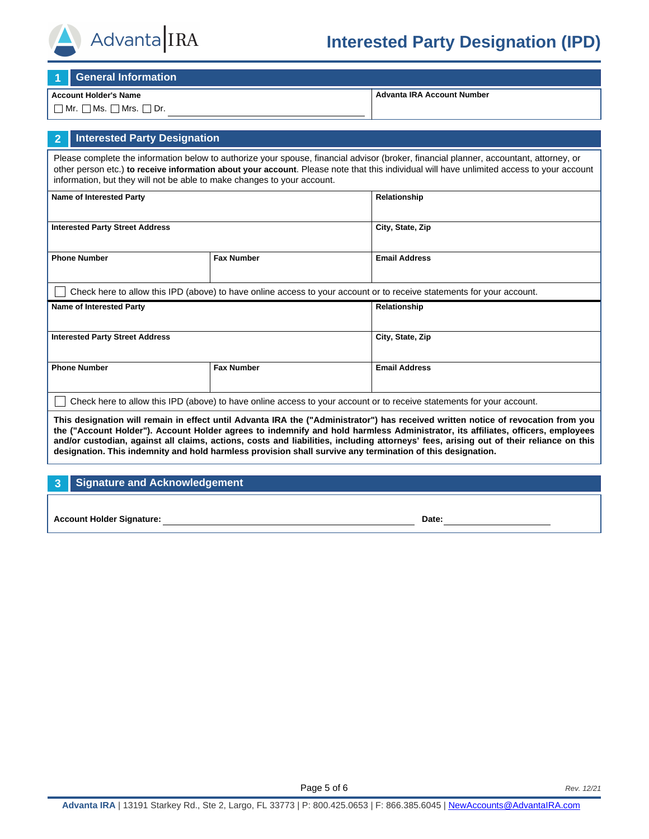

# **Interested Party Designation (IPD)**

**1 General Information**

#### **Account Holder's Name**

 $\Box$  Mr.  $\Box$  Ms.  $\Box$  Mrs.  $\Box$  Dr.

**Advanta IRA Account Number**

# **2 Interested Party Designation**

Please complete the information below to authorize your spouse, financial advisor (broker, financial planner, accountant, attorney, or other person etc.) **to receive information about your account**. Please note that this individual will have unlimited access to your account information, but they will not be able to make changes to your account.

| <b>Name of Interested Party</b>                                                                                       |                   | Relationship         |  |
|-----------------------------------------------------------------------------------------------------------------------|-------------------|----------------------|--|
| <b>Interested Party Street Address</b>                                                                                |                   | City, State, Zip     |  |
| <b>Phone Number</b><br><b>Fax Number</b>                                                                              |                   | <b>Email Address</b> |  |
| Check here to allow this IPD (above) to have online access to your account or to receive statements for your account. |                   |                      |  |
| <b>Name of Interested Party</b>                                                                                       |                   | Relationship         |  |
| <b>Interested Party Street Address</b>                                                                                |                   | City, State, Zip     |  |
| <b>Phone Number</b>                                                                                                   | <b>Fax Number</b> | <b>Email Address</b> |  |
| Check here to allow this IPD (above) to have online access to your account or to receive statements for your account. |                   |                      |  |

**This designation will remain in effect until Advanta IRA the ("Administrator") has received written notice of revocation from you the ("Account Holder"). Account Holder agrees to indemnify and hold harmless Administrator, its affiliates, officers, employees and/or custodian, against all claims, actions, costs and liabilities, including attorneys' fees, arising out of their reliance on this designation. This indemnity and hold harmless provision shall survive any termination of this designation.**

## **3 Signature and Acknowledgement**

**Account Holder Signature: Date:**

Page 5 of 6 *Rev. 12/21*